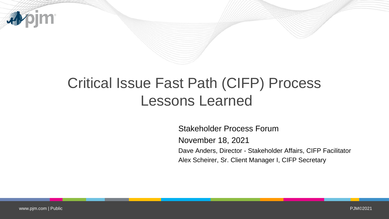

### Critical Issue Fast Path (CIFP) Process Lessons Learned

Stakeholder Process Forum November 18, 2021 Dave Anders, Director - Stakeholder Affairs, CIFP Facilitator Alex Scheirer, Sr. Client Manager I, CIFP Secretary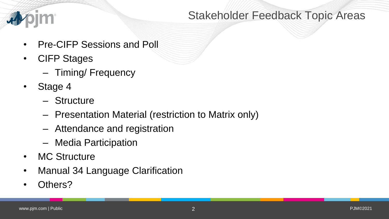

### Stakeholder Feedback Topic Areas

- Pre-CIFP Sessions and Poll
- CIFP Stages
	- Timing/ Frequency
- Stage 4
	- Structure
	- Presentation Material (restriction to Matrix only)
	- Attendance and registration
	- Media Participation
- MC Structure
- Manual 34 Language Clarification
- Others?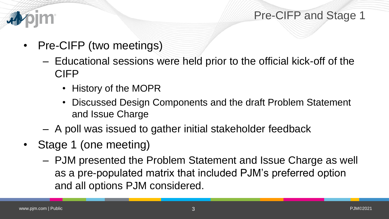



- Pre-CIFP (two meetings)
	- Educational sessions were held prior to the official kick-off of the CIFP
		- History of the MOPR
		- Discussed Design Components and the draft Problem Statement and Issue Charge
	- A poll was issued to gather initial stakeholder feedback
- Stage 1 (one meeting)
	- PJM presented the Problem Statement and Issue Charge as well as a pre-populated matrix that included PJM's preferred option and all options PJM considered.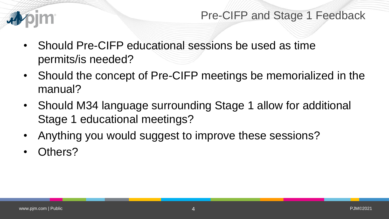

- Should Pre-CIFP educational sessions be used as time permits/is needed?
- Should the concept of Pre-CIFP meetings be memorialized in the manual?
- Should M34 language surrounding Stage 1 allow for additional Stage 1 educational meetings?
- Anything you would suggest to improve these sessions?
- Others?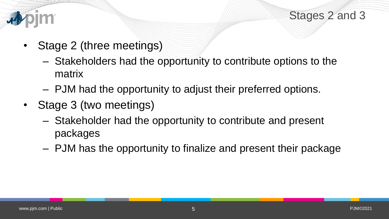



- Stage 2 (three meetings)
	- Stakeholders had the opportunity to contribute options to the matrix
	- PJM had the opportunity to adjust their preferred options.
- Stage 3 (two meetings)
	- Stakeholder had the opportunity to contribute and present packages
	- PJM has the opportunity to finalize and present their package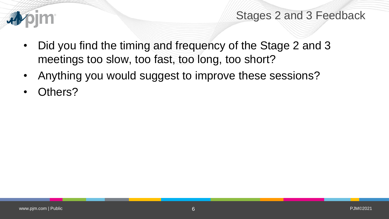

### Stages 2 and 3 Feedback

- Did you find the timing and frequency of the Stage 2 and 3 meetings too slow, too fast, too long, too short?
- Anything you would suggest to improve these sessions?
- Others?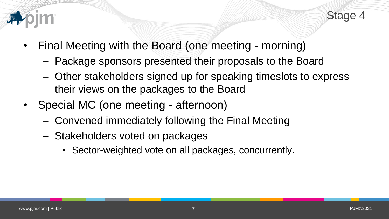



- Final Meeting with the Board (one meeting morning)
	- Package sponsors presented their proposals to the Board
	- Other stakeholders signed up for speaking timeslots to express their views on the packages to the Board
- Special MC (one meeting afternoon)
	- Convened immediately following the Final Meeting
	- Stakeholders voted on packages
		- Sector-weighted vote on all packages, concurrently.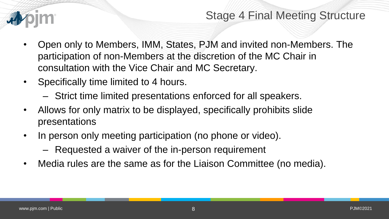

### Stage 4 Final Meeting Structure

- Open only to Members, IMM, States, PJM and invited non-Members. The participation of non-Members at the discretion of the MC Chair in consultation with the Vice Chair and MC Secretary.
- Specifically time limited to 4 hours.
	- Strict time limited presentations enforced for all speakers.
- Allows for only matrix to be displayed, specifically prohibits slide presentations
- In person only meeting participation (no phone or video).
	- Requested a waiver of the in-person requirement
- Media rules are the same as for the Liaison Committee (no media).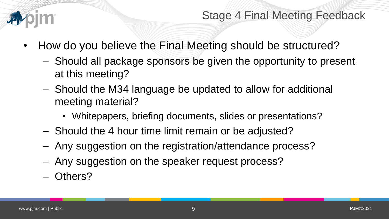

Stage 4 Final Meeting Feedback

- How do you believe the Final Meeting should be structured?
	- Should all package sponsors be given the opportunity to present at this meeting?
	- Should the M34 language be updated to allow for additional meeting material?
		- Whitepapers, briefing documents, slides or presentations?
	- Should the 4 hour time limit remain or be adjusted?
	- Any suggestion on the registration/attendance process?
	- Any suggestion on the speaker request process?
	- Others?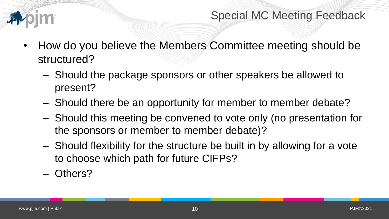

- How do you believe the Members Committee meeting should be structured?
	- Should the package sponsors or other speakers be allowed to present?
	- Should there be an opportunity for member to member debate?
	- Should this meeting be convened to vote only (no presentation for the sponsors or member to member debate)?
	- Should flexibility for the structure be built in by allowing for a vote to choose which path for future CIFPs?
	- Others?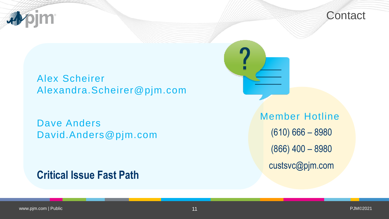



#### Alex Scheirer Alexandra.Scheirer@pjm.com

### Dave Anders David.Anders@pjm.com

### **Critical Issue Fast Path**

Member Hotline (610) 666 – 8980 (866) 400 – 8980 custsvc@pjm.com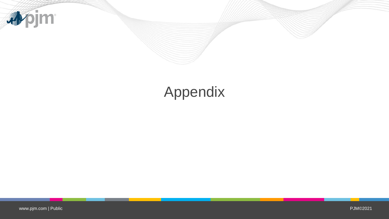

## Appendix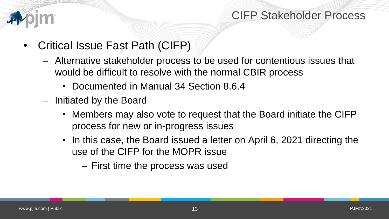

### CIFP Stakeholder Process

- Critical Issue Fast Path (CIFP)
	- Alternative stakeholder process to be used for contentious issues that would be difficult to resolve with the normal CBIR process
		- Documented in Manual 34 Section 8.6.4
	- Initiated by the Board
		- Members may also vote to request that the Board initiate the CIFP process for new or in-progress issues
		- In this case, the Board issued a letter on April 6, 2021 directing the use of the CIFP for the MOPR issue
			- First time the process was used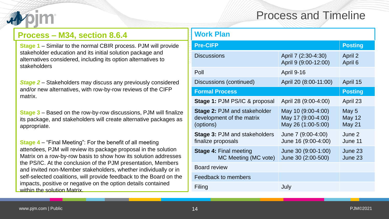### Process and Timeline

#### **Process – M34, section 8.6.4**

**Stage 1** – Similar to the normal CBIR process. PJM will provide stakeholder education and its initial solution package and alternatives considered, including its option alternatives to stakeholders

*Stage 2* – Stakeholders may discuss any previously considered and/or new alternatives, with row-by-row reviews of the CIFP matrix.

**Stage 3** – Based on the row-by-row discussions, PJM will finalize its package, and stakeholders will create alternative packages as appropriate.

**Stage 4** – "Final Meeting": For the benefit of all meeting attendees, PJM will review its package proposal in the solution Matrix on a row-by-row basis to show how its solution addresses the PS/IC. At the conclusion of the PJM presentation, Members and invited non-Member stakeholders, whether individually or in self-selected coalitions, will provide feedback to the Board on the impacts, positive or negative on the option details contained within the solution Matrix.

| Work Plan                                                                     |                                                                |                                         |
|-------------------------------------------------------------------------------|----------------------------------------------------------------|-----------------------------------------|
| <b>Pre-CIFP</b>                                                               |                                                                | <b>Posting</b>                          |
| <b>Discussions</b>                                                            | April 7 (2:30-4:30)<br>April 9 (9:00-12:00)                    | April 2<br>April 6                      |
| Poll                                                                          | <b>April 9-16</b>                                              |                                         |
| Discussions (continued)                                                       | April 20 (8:00-11:00)                                          | April 15                                |
| <b>Formal Process</b>                                                         |                                                                | <b>Posting</b>                          |
| <b>Stage 1: PJM PS/IC &amp; proposal</b>                                      | April 28 (9:00-4:00)                                           | April 23                                |
| <b>Stage 2: PJM and stakeholder</b><br>development of the matrix<br>(options) | May 10 (9:00-4:00)<br>May 17 (9:00-4:00)<br>May 26 (1:00-5:00) | May 5<br><b>May 12</b><br><b>May 21</b> |
| <b>Stage 3: PJM and stakeholders</b><br>finalize proposals                    | June 7 (9:00-4:00)<br>June 16 (9:00-4:00)                      | June 2<br>June 11                       |
| <b>Stage 4: Final meeting</b><br>MC Meeting (MC vote)                         | June 30 (9:00-1:00)<br>June 30 (2:00-500)                      | June 23<br>June 23                      |
| <b>Board review</b>                                                           |                                                                |                                         |
| Feedback to members                                                           |                                                                |                                         |
| Filing                                                                        | July                                                           |                                         |